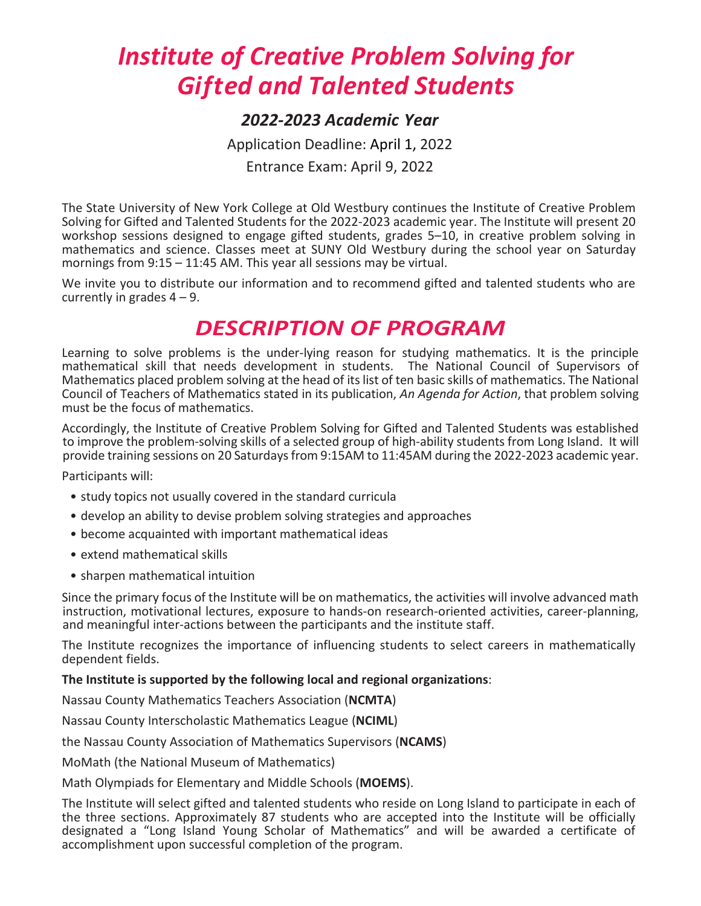# *Institute of Creative Problem Solving for Gifted and Talented Students*

## *2022-2023 Academic Year*

Application Deadline: April 1, 2022

Entrance Exam: April 9, 2022

The State University of New York College at Old Westbury continues the Institute of Creative Problem Solving for Gifted and Talented Students for the 2022-2023 academic year. The Institute will present 20 workshop sessions designed to engage gifted students, grades 5–10, in creative problem solving in mathematics and science. Classes meet at SUNY Old Westbury during the school year on Saturday mornings from 9:15 – 11:45 AM. This year all sessions may be virtual.

We invite you to distribute our information and to recommend gifted and talented students who are currently in grades  $4 - 9$ .

## *DESCRIPTION OF PROGRAM*

Learning to solve problems is the under-lying reason for studying mathematics. It is the principle mathematical skill that needs development in students. The National Council of Supervisors of Mathematics placed problem solving at the head of its list of ten basic skills of mathematics. The National Council of Teachers of Mathematics stated in its publication, *An Agenda for Action*, that problem solving must be the focus of mathematics.

Accordingly, the Institute of Creative Problem Solving for Gifted and Talented Students was established to improve the problem-solving skills of a selected group of high-ability students from Long Island. It will provide training sessions on 20 Saturdays from 9:15AM to 11:45AM during the 2022-2023 academic year.

Participants will:

- study topics not usually covered in the standard curricula
- develop an ability to devise problem solving strategies and approaches
- become acquainted with important mathematical ideas
- extend mathematical skills
- sharpen mathematical intuition

Since the primary focus of the Institute will be on mathematics, the activities will involve advanced math instruction, motivational lectures, exposure to hands-on research-oriented activities, career-planning, and meaningful inter-actions between the participants and the institute staff.

The Institute recognizes the importance of influencing students to select careers in mathematically dependent fields.

### **The Institute is supported by the following local and regional organizations**:

Nassau County Mathematics Teachers Association (**NCMTA**)

Nassau County Interscholastic Mathematics League (**NCIML**)

the Nassau County Association of Mathematics Supervisors (**NCAMS**)

MoMath (the National Museum of Mathematics)

Math Olympiads for Elementary and Middle Schools (**MOEMS**).

The Institute will select gifted and talented students who reside on Long Island to participate in each of the three sections. Approximately 87 students who are accepted into the Institute will be officially designated a "Long Island Young Scholar of Mathematics" and will be awarded a certificate of accomplishment upon successful completion of the program.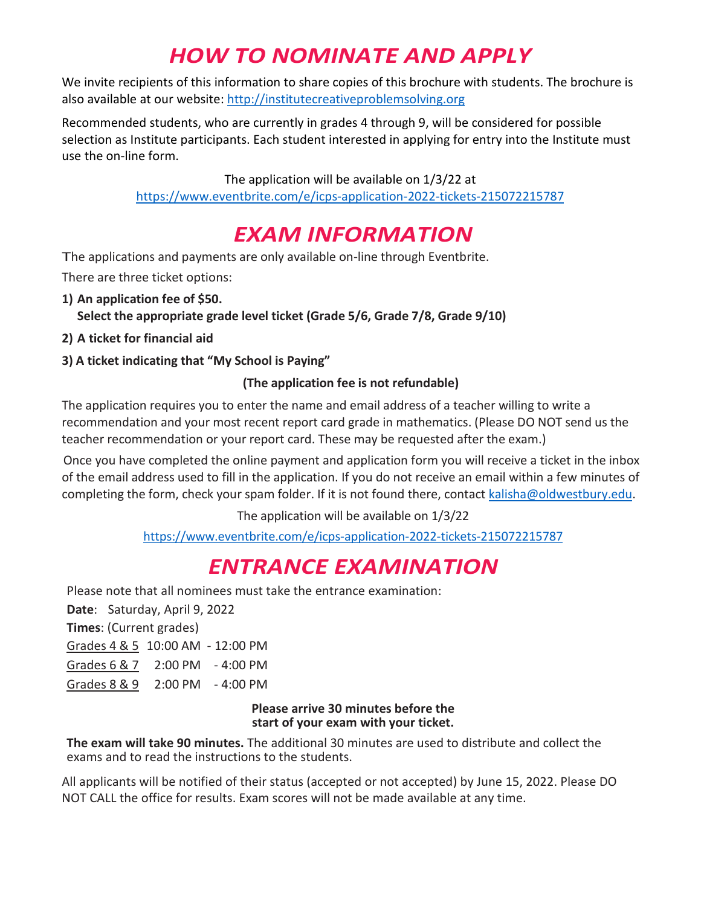# *HOW TO NOMINATE AND APPLY*

We invite recipients of this information to share copies of this brochure with students. The brochure is also available at our website: [http://institutecreativeproblemsolving.org](http://institutecreativeproblemsolving.org/)

Recommended students, who are currently in grades 4 through 9, will be considered for possible selection as Institute participants. Each student interested in applying for entry into the Institute must use the on-line form.

> The application will be available on 1/3/22 at <https://www.eventbrite.com/e/icps-application-2022-tickets-215072215787>

## *EXAM INFORMATION*

The applications and payments are only available on-line through Eventbrite. There are three ticket options:

- **1) An application fee of \$50.** 
	- **Select the appropriate grade level ticket (Grade 5/6, Grade 7/8, Grade 9/10)**
- **2) A ticket for financial aid**
- **3) A ticket indicating that "My School is Paying"**

### **(The application fee is not refundable)**

The application requires you to enter the name and email address of a teacher willing to write a recommendation and your most recent report card grade in mathematics. (Please DO NOT send us the teacher recommendation or your report card. These may be requested after the exam.)

Once you have completed the online payment and application form you will receive a ticket in the inbox of the email address used to fill in the application. If you do not receive an email within a few minutes of completing the form, check your spam folder. If it is not found there, contact [kalisha@oldwestbury.edu.](mailto:kalisha@oldwestbury.edu)

The application will be available on 1/3/22

<https://www.eventbrite.com/e/icps-application-2022-tickets-215072215787>

# *ENTRANCE EXAMINATION*

Please note that all nominees must take the entrance examination:

**Date**: Saturday, April 9, 2022

**Times**: (Current grades)

Grades 4 & 5 10:00 AM - 12:00 PM

Grades 6 & 7 2:00 PM - 4:00 PM

Grades 8 & 9 2:00 PM - 4:00 PM

### **Please arrive 30 minutes before the start of your exam with your ticket.**

**The exam will take 90 minutes.** The additional 30 minutes are used to distribute and collect the exams and to read the instructions to the students.

All applicants will be notified of their status (accepted or not accepted) by June 15, 2022. Please DO NOT CALL the office for results. Exam scores will not be made available at any time.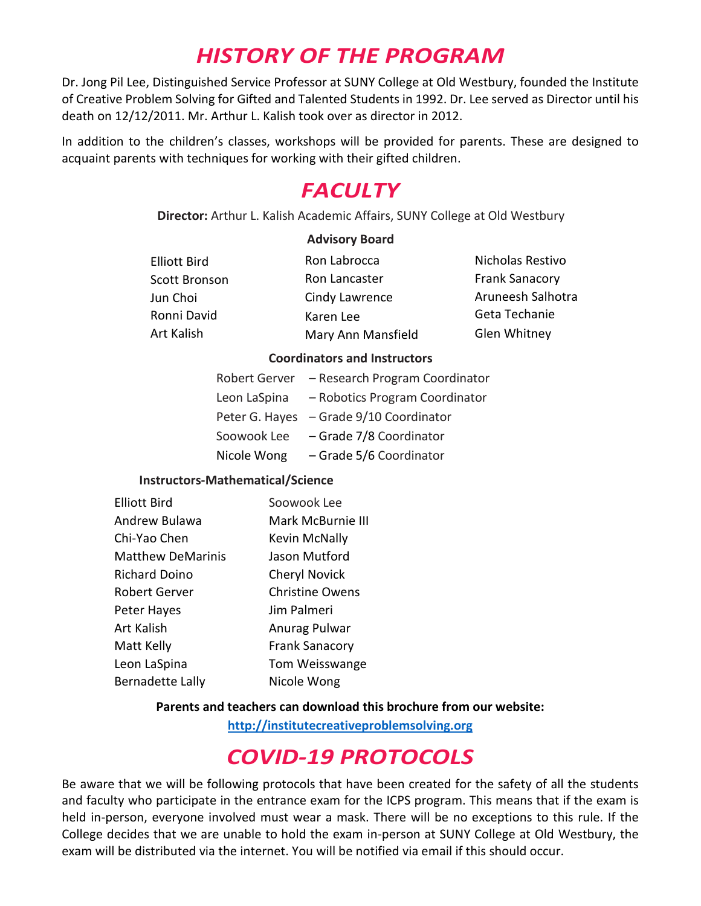## *HISTORY OF THE PROGRAM*

Dr. Jong Pil Lee, Distinguished Service Professor at SUNY College at Old Westbury, founded the Institute of Creative Problem Solving for Gifted and Talented Students in 1992. Dr. Lee served as Director until his death on 12/12/2011. Mr. Arthur L. Kalish took over as director in 2012.

In addition to the children's classes, workshops will be provided for parents. These are designed to acquaint parents with techniques for working with their gifted children.

## *FACULTY*

**Director:** Arthur L. Kalish Academic Affairs, SUNY College at Old Westbury

### **Advisory Board**

| <b>Elliott Bird</b>  | Ron Labrocca       | Nicholas Restivo      |
|----------------------|--------------------|-----------------------|
| <b>Scott Bronson</b> | Ron Lancaster      | <b>Frank Sanacory</b> |
| Jun Choi             | Cindy Lawrence     | Aruneesh Salhotra     |
| Ronni David          | Karen Lee          | Geta Techanie         |
| Art Kalish           | Mary Ann Mansfield | Glen Whitney          |

### **Coordinators and Instructors**

|              | Robert Gerver - Research Program Coordinator |
|--------------|----------------------------------------------|
| Leon LaSpina | - Robotics Program Coordinator               |
|              | Peter G. Hayes - Grade 9/10 Coordinator      |
| Soowook Lee  | - Grade 7/8 Coordinator                      |
| Nicole Wong  | - Grade 5/6 Coordinator                      |

### **Instructors-Mathematical/Science**

| <b>Flliott Bird</b>      | Soowook Lee            |
|--------------------------|------------------------|
| Andrew Bulawa            | Mark McBurnie III      |
| Chi-Yao Chen             | <b>Kevin McNally</b>   |
| <b>Matthew DeMarinis</b> | Jason Mutford          |
| <b>Richard Doino</b>     | <b>Cheryl Novick</b>   |
| Robert Gerver            | <b>Christine Owens</b> |
| Peter Hayes              | Jim Palmeri            |
| Art Kalish               | Anurag Pulwar          |
| Matt Kelly               | <b>Frank Sanacory</b>  |
| Leon LaSpina             | Tom Weisswange         |
| <b>Bernadette Lally</b>  | Nicole Wong            |

### **Parents and teachers can download this brochure from our website:**

**[http://institutecreativeproblemsolving.org](http://institutecreativeproblemsolving.org/)**

## *COVID-19 PROTOCOLS*

Be aware that we will be following protocols that have been created for the safety of all the students and faculty who participate in the entrance exam for the ICPS program. This means that if the exam is held in-person, everyone involved must wear a mask. There will be no exceptions to this rule. If the College decides that we are unable to hold the exam in-person at SUNY College at Old Westbury, the exam will be distributed via the internet. You will be notified via email if this should occur.